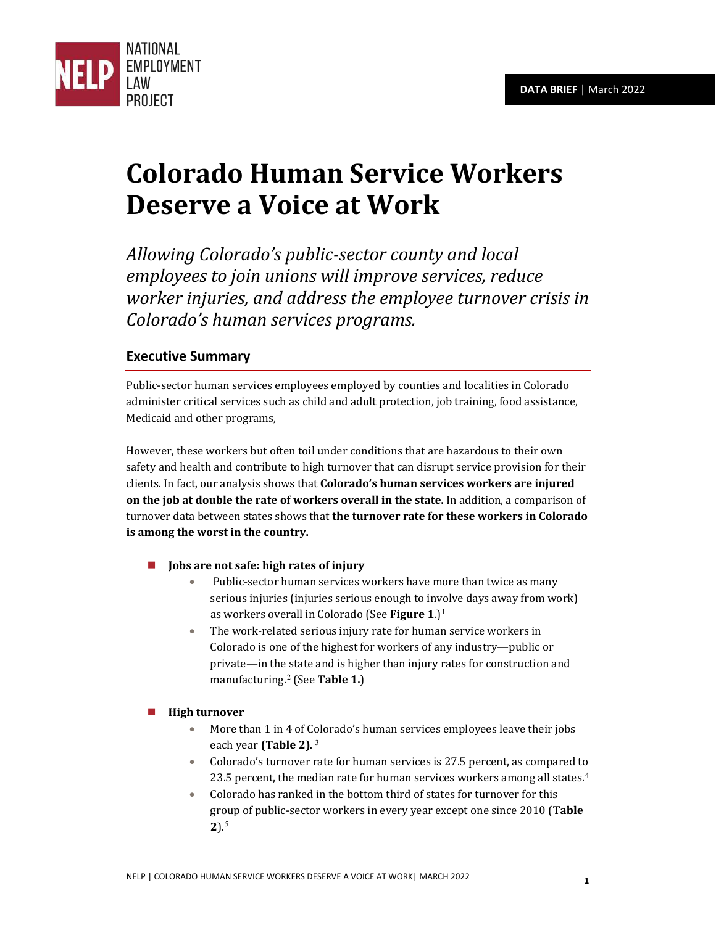

# **Colorado Human Service Workers Deserve a Voice at Work**

*Allowing Colorado's public-sector county and local employees to join unions will improve services, reduce worker injuries, and address the employee turnover crisis in Colorado's human services programs.*

# **Executive Summary**

Public-sector human services employees employed by counties and localities in Colorado administer critical services such as child and adult protection, job training, food assistance, Medicaid and other programs,

However, these workers but often toil under conditions that are hazardous to their own safety and health and contribute to high turnover that can disrupt service provision for their clients. In fact, our analysis shows that **Colorado's human services workers are injured on the job at double the rate of workers overall in the state.** In addition, a comparison of turnover data between states shows that **the turnover rate for these workers in Colorado is among the worst in the country.**

- **Jobs are not safe: high rates of injury**
	- Public-sector human services workers have more than twice as many serious injuries (injuries serious enough to involve days away from work) as workers overall in Colorado (See Figure [1](#page-6-0).)<sup>1</sup>
	- The work-related serious injury rate for human service workers in Colorado is one of the highest for workers of any industry—public or private—in the state and is higher than injury rates for construction and manufacturing.[2](#page-6-1) (See **Table 1.**)

## **High turnover**

- More than 1 in 4 of Colorado's human services employees leave their jobs each year **(Table 2)**. [3](#page-6-2)
- Colorado's turnover rate for human services is 27.5 percent, as compared to 23.5 percent, the median rate for human services workers among all states.<sup>[4](#page-6-3)</sup>
- Colorado has ranked in the bottom third of states for turnover for this group of public-sector workers in every year except one since 2010 (**Table 2**).[5](#page-6-4)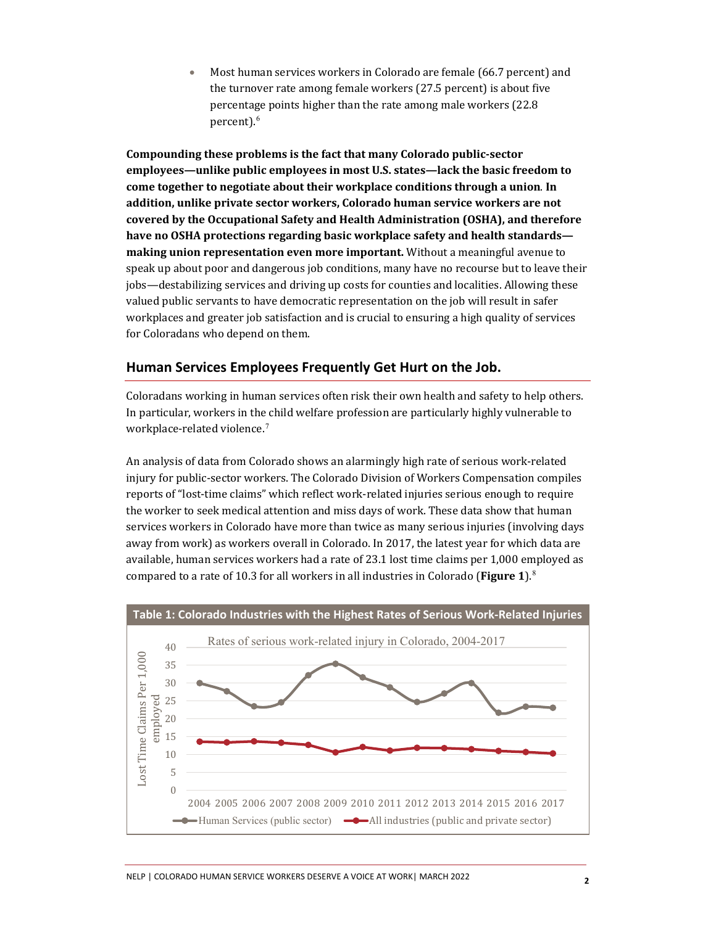• Most human services workers in Colorado are female (66.7 percent) and the turnover rate among female workers (27.5 percent) is about five percentage points higher than the rate among male workers (22.8 percent).<sup>[6](#page-6-5)</sup>

**Compounding these problems is the fact that many Colorado public-sector employees—unlike public employees in most U.S. states—lack the basic freedom to come together to negotiate about their workplace conditions through a union**. **In addition, unlike private sector workers, Colorado human service workers are not covered by the Occupational Safety and Health Administration (OSHA), and therefore have no OSHA protections regarding basic workplace safety and health standards making union representation even more important.** Without a meaningful avenue to speak up about poor and dangerous job conditions, many have no recourse but to leave their jobs—destabilizing services and driving up costs for counties and localities. Allowing these valued public servants to have democratic representation on the job will result in safer workplaces and greater job satisfaction and is crucial to ensuring a high quality of services for Coloradans who depend on them.

## **Human Services Employees Frequently Get Hurt on the Job.**

Coloradans working in human services often risk their own health and safety to help others. In particular, workers in the child welfare profession are particularly highly vulnerable to workplace-related violence.<sup>[7](#page-6-6)</sup>

An analysis of data from Colorado shows an alarmingly high rate of serious work-related injury for public-sector workers. The Colorado Division of Workers Compensation compiles reports of "lost-time claims" which reflect work-related injuries serious enough to require the worker to seek medical attention and miss days of work. These data show that human services workers in Colorado have more than twice as many serious injuries (involving days away from work) as workers overall in Colorado. In 2017, the latest year for which data are available, human services workers had a rate of 23.1 lost time claims per 1,000 employed as compared to a rate of 10.3 for all workers in all industries in Colorado (**Figure 1**).[8](#page-6-7)

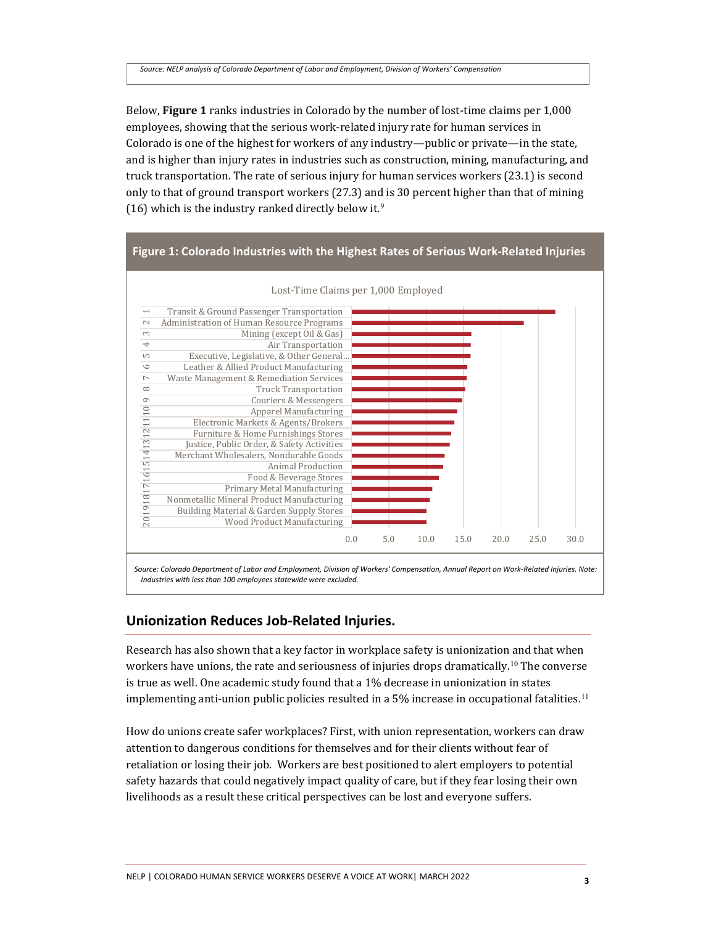Below, **Figure 1** ranks industries in Colorado by the number of lost-time claims per 1,000 employees, showing that the serious work-related injury rate for human services in Colorado is one of the highest for workers of any industry—public or private—in the state, and is higher than injury rates in industries such as construction, mining, manufacturing, and truck transportation. The rate of serious injury for human services workers (23.1) is second only to that of ground transport workers (27.3) and is 30 percent higher than that of mining (16) which is the industry ranked directly below it.<sup>[9](#page-6-8)</sup>



## **Unionization Reduces Job-Related Injuries.**

Research has also shown that a key factor in workplace safety is unionization and that when workers have unions, the rate and seriousness of injuries drops dramatically.<sup>[10](#page-6-9)</sup> The converse is true as well. One academic study found that a 1% decrease in unionization in states implementing anti-union public policies resulted in a 5% increase in occupational fatalities.<sup>[11](#page-6-10)</sup>

How do unions create safer workplaces? First, with union representation, workers can draw attention to dangerous conditions for themselves and for their clients without fear of retaliation or losing their job. Workers are best positioned to alert employers to potential safety hazards that could negatively impact quality of care, but if they fear losing their own livelihoods as a result these critical perspectives can be lost and everyone suffers.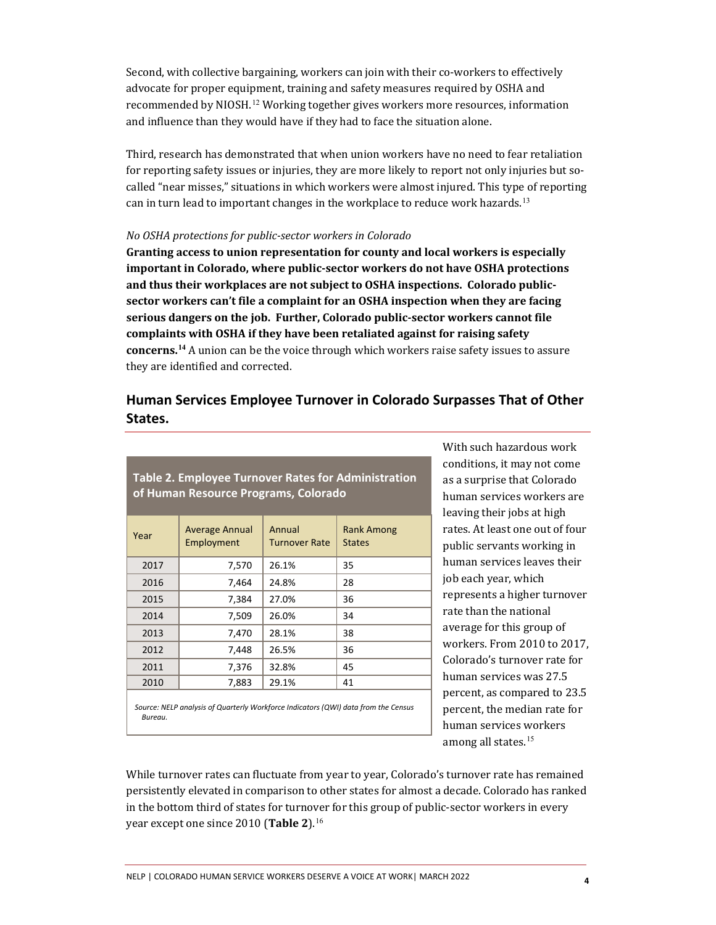Second, with collective bargaining, workers can join with their co-workers to effectively advocate for proper equipment, training and safety measures required by OSHA and recommended by NIOSH.<sup>[12](#page-6-11)</sup> Working together gives workers more resources, information and influence than they would have if they had to face the situation alone.

Third, research has demonstrated that when union workers have no need to fear retaliation for reporting safety issues or injuries, they are more likely to report not only injuries but socalled "near misses," situations in which workers were almost injured. This type of reporting can in turn lead to important changes in the workplace to reduce work hazards.<sup>[13](#page-6-12)</sup>

#### *No OSHA protections for public-sector workers in Colorado*

**Granting access to union representation for county and local workers is especially important in Colorado, where public-sector workers do not have OSHA protections and thus their workplaces are not subject to OSHA inspections. Colorado publicsector workers can't file a complaint for an OSHA inspection when they are facing serious dangers on the job. Further, Colorado public-sector workers cannot file complaints with OSHA if they have been retaliated against for raising safety concerns.[14](#page-6-13)** A union can be the voice through which workers raise safety issues to assure they are identified and corrected.

## **Human Services Employee Turnover in Colorado Surpasses That of Other States.**

| <b>Table 2. Employee Turnover Rates for Administration</b><br>of Human Resource Programs, Colorado |                              |                                |                             |
|----------------------------------------------------------------------------------------------------|------------------------------|--------------------------------|-----------------------------|
| Year                                                                                               | Average Annual<br>Employment | Annual<br><b>Turnover Rate</b> | Rank Among<br><b>States</b> |
| 2017                                                                                               | 7,570                        | 26.1%                          | 35                          |
| 2016                                                                                               | 7,464                        | 24.8%                          | 28                          |
| 2015                                                                                               | 7,384                        | 27.0%                          | 36                          |
| 2014                                                                                               | 7,509                        | 26.0%                          | 34                          |
| 2013                                                                                               | 7,470                        | 28.1%                          | 38                          |
| 2012                                                                                               | 7,448                        | 26.5%                          | 36                          |
| 2011                                                                                               | 7,376                        | 32.8%                          | 45                          |
| 2010                                                                                               | 7,883                        | 29.1%                          | 41                          |
| Source: NELP analysis of Quarterly Workforce Indicators (QWI) data from the Census<br>Bureau.      |                              |                                |                             |

With such hazardous work conditions, it may not come as a surprise that Colorado human services workers are leaving their jobs at high rates. At least one out of four public servants working in human services leaves their job each year, which represents a higher turnover rate than the national average for this group of workers. From 2010 to 2017, Colorado's turnover rate for human services was 27.5 percent, as compared to 23.5 percent, the median rate for human services workers among all states.<sup>[15](#page-6-14)</sup>

While turnover rates can fluctuate from year to year, Colorado's turnover rate has remained persistently elevated in comparison to other states for almost a decade. Colorado has ranked in the bottom third of states for turnover for this group of public-sector workers in every year except one since 2010 (**Table 2**).[16](#page-6-15)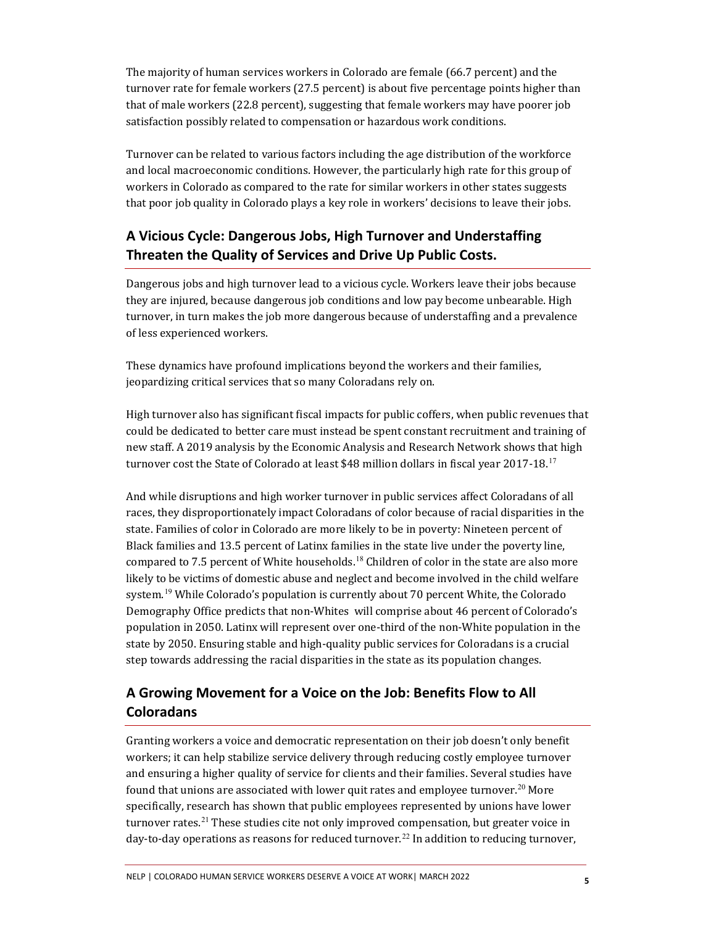The majority of human services workers in Colorado are female (66.7 percent) and the turnover rate for female workers (27.5 percent) is about five percentage points higher than that of male workers (22.8 percent), suggesting that female workers may have poorer job satisfaction possibly related to compensation or hazardous work conditions.

Turnover can be related to various factors including the age distribution of the workforce and local macroeconomic conditions. However, the particularly high rate for this group of workers in Colorado as compared to the rate for similar workers in other states suggests that poor job quality in Colorado plays a key role in workers' decisions to leave their jobs.

## **A Vicious Cycle: Dangerous Jobs, High Turnover and Understaffing Threaten the Quality of Services and Drive Up Public Costs.**

Dangerous jobs and high turnover lead to a vicious cycle. Workers leave their jobs because they are injured, because dangerous job conditions and low pay become unbearable. High turnover, in turn makes the job more dangerous because of understaffing and a prevalence of less experienced workers.

These dynamics have profound implications beyond the workers and their families, jeopardizing critical services that so many Coloradans rely on.

High turnover also has significant fiscal impacts for public coffers, when public revenues that could be dedicated to better care must instead be spent constant recruitment and training of new staff. A 2019 analysis by the Economic Analysis and Research Network shows that high turnover cost the State of Colorado at least \$48 million dollars in fiscal year 20[17](#page-6-16)-18.<sup>17</sup>

And while disruptions and high worker turnover in public services affect Coloradans of all races, they disproportionately impact Coloradans of color because of racial disparities in the state. Families of color in Colorado are more likely to be in poverty: Nineteen percent of Black families and 13.5 percent of Latinx families in the state live under the poverty line, compared to 7.5 percent of White households.<sup>[18](#page-6-17)</sup> Children of color in the state are also more likely to be victims of domestic abuse and neglect and become involved in the child welfare system.<sup>[19](#page-6-18)</sup> While Colorado's population is currently about 70 percent White, the Colorado Demography Office predicts that non-Whites will comprise about 46 percent of Colorado's population in 2050. Latinx will represent over one-third of the non-White population in the state by 2050. Ensuring stable and high-quality public services for Coloradans is a crucial step towards addressing the racial disparities in the state as its population changes.

# **A Growing Movement for a Voice on the Job: Benefits Flow to All Coloradans**

Granting workers a voice and democratic representation on their job doesn't only benefit workers; it can help stabilize service delivery through reducing costly employee turnover and ensuring a higher quality of service for clients and their families. Several studies have found that unions are associated with lower quit rates and employee turnover.<sup>[20](#page-6-19)</sup> More specifically, research has shown that public employees represented by unions have lower turnover rates. [21](#page-6-20) These studies cite not only improved compensation, but greater voice in day-to-day operations as reasons for reduced turnover.<sup>[22](#page-6-21)</sup> In addition to reducing turnover,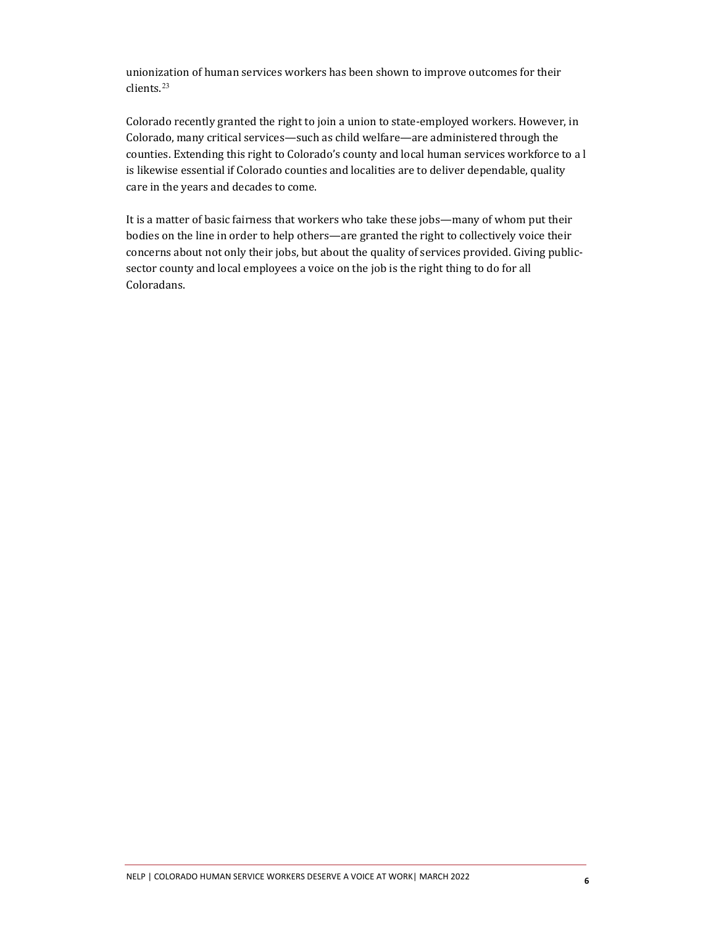unionization of human services workers has been shown to improve outcomes for their clients.[23](#page-6-22)

Colorado recently granted the right to join a union to state-employed workers. However, in Colorado, many critical services—such as child welfare—are administered through the counties. Extending this right to Colorado's county and local human services workforce to a l is likewise essential if Colorado counties and localities are to deliver dependable, quality care in the years and decades to come.

It is a matter of basic fairness that workers who take these jobs—many of whom put their bodies on the line in order to help others—are granted the right to collectively voice their concerns about not only their jobs, but about the quality of services provided. Giving publicsector county and local employees a voice on the job is the right thing to do for all Coloradans.